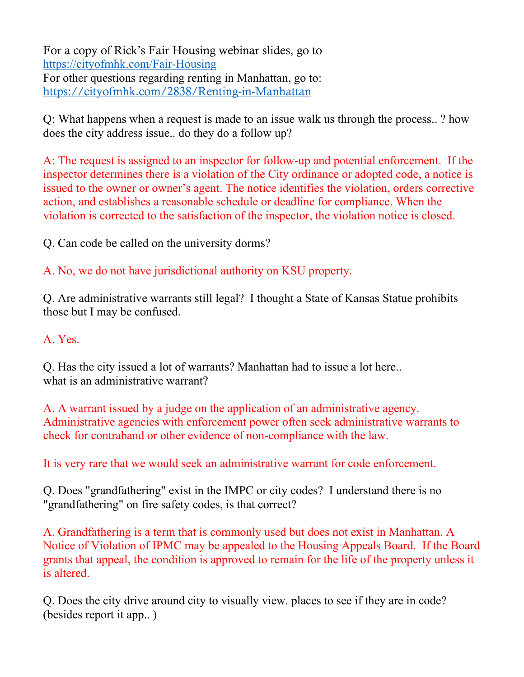For a copy of Rick's Fair Housing webinar slides, go to <https://cityofmhk.com/Fair-Housing> For other questions regarding renting in Manhattan, go to: <https://cityofmhk.com/2838/Renting-in-Manhattan>

Q: What happens when a request is made to an issue walk us through the process.. ? how does the city address issue.. do they do a follow up?

A: The request is assigned to an inspector for follow-up and potential enforcement. If the inspector determines there is a violation of the City ordinance or adopted code, a notice is issued to the owner or owner's agent. The notice identifies the violation, orders corrective action, and establishes a reasonable schedule or deadline for compliance. When the violation is corrected to the satisfaction of the inspector, the violation notice is closed.

Q. Can code be called on the university dorms?

A. No, we do not have jurisdictional authority on KSU property.

Q. Are administrative warrants still legal? I thought a State of Kansas Statue prohibits those but I may be confused.

## A. Yes.

Q. Has the city issued a lot of warrants? Manhattan had to issue a lot here.. what is an administrative warrant?

A. A warrant issued by a judge on the application of an administrative agency. Administrative agencies with enforcement power often seek administrative warrants to check for contraband or other evidence of non-compliance with the law.

It is very rare that we would seek an administrative warrant for code enforcement.

Q. Does "grandfathering" exist in the IMPC or city codes? I understand there is no "grandfathering" on fire safety codes, is that correct?

A. Grandfathering is a term that is commonly used but does not exist in Manhattan. A Notice of Violation of IPMC may be appealed to the Housing Appeals Board. If the Board grants that appeal, the condition is approved to remain for the life of the property unless it is altered.

Q. Does the city drive around city to visually view. places to see if they are in code? (besides report it app.. )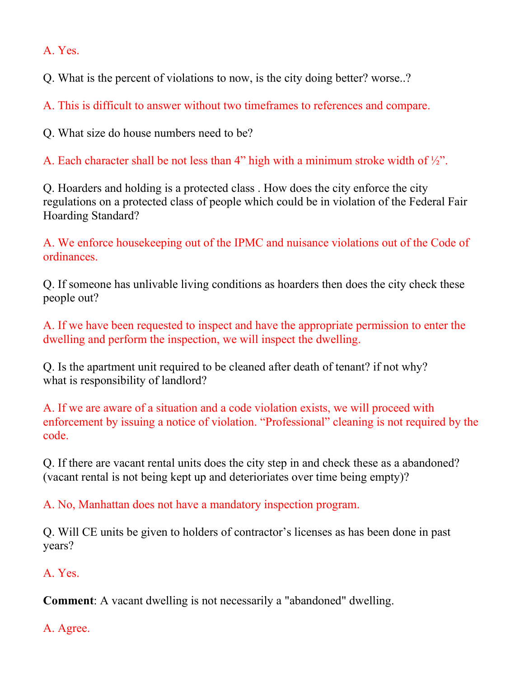A. Yes.

Q. What is the percent of violations to now, is the city doing better? worse..?

A. This is difficult to answer without two timeframes to references and compare.

Q. What size do house numbers need to be?

A. Each character shall be not less than 4" high with a minimum stroke width of ½".

Q. Hoarders and holding is a protected class . How does the city enforce the city regulations on a protected class of people which could be in violation of the Federal Fair Hoarding Standard?

A. We enforce housekeeping out of the IPMC and nuisance violations out of the Code of ordinances.

Q. If someone has unlivable living conditions as hoarders then does the city check these people out?

A. If we have been requested to inspect and have the appropriate permission to enter the dwelling and perform the inspection, we will inspect the dwelling.

Q. Is the apartment unit required to be cleaned after death of tenant? if not why? what is responsibility of landlord?

A. If we are aware of a situation and a code violation exists, we will proceed with enforcement by issuing a notice of violation. "Professional" cleaning is not required by the code.

Q. If there are vacant rental units does the city step in and check these as a abandoned? (vacant rental is not being kept up and deterioriates over time being empty)?

A. No, Manhattan does not have a mandatory inspection program.

Q. Will CE units be given to holders of contractor's licenses as has been done in past years?

## A. Yes.

**Comment**: A vacant dwelling is not necessarily a "abandoned" dwelling.

A. Agree.